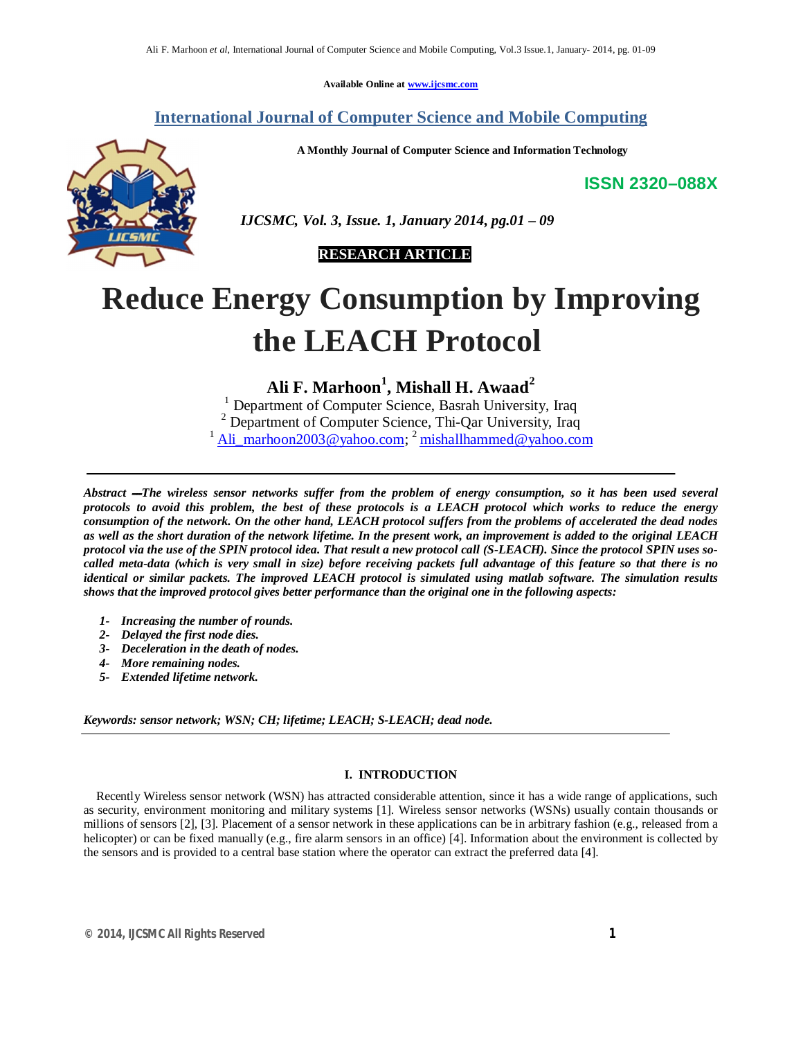**Available Online at www.ijcsmc.com**

## **International Journal of Computer Science and Mobile Computing**

**A Monthly Journal of Computer Science and Information Technology**

**ISSN 2320–088X**



 *IJCSMC, Vol. 3, Issue. 1, January 2014, pg.01 – 09*

## **RESEARCH ARTICLE**

# **Reduce Energy Consumption by Improving the LEACH Protocol**

**Ali F. Marhoon<sup>1</sup> , Mishall H. Awaad<sup>2</sup>**

<sup>1</sup> Department of Computer Science, Basrah University, Iraq <sup>2</sup> Department of Computer Science, Thi-Qar University, Iraq <sup>1</sup> Ali\_marhoon2003@yahoo.com; <sup>2</sup> mishallhammed@yahoo.com

*Abstract ــــThe wireless sensor networks suffer from the problem of energy consumption, so it has been used several protocols to avoid this problem, the best of these protocols is a LEACH protocol which works to reduce the energy consumption of the network. On the other hand, LEACH protocol suffers from the problems of accelerated the dead nodes as well as the short duration of the network lifetime. In the present work, an improvement is added to the original LEACH protocol via the use of the SPIN protocol idea. That result a new protocol call (S-LEACH). Since the protocol SPIN uses socalled meta-data (which is very small in size) before receiving packets full advantage of this feature so that there is no identical or similar packets. The improved LEACH protocol is simulated using matlab software. The simulation results shows that the improved protocol gives better performance than the original one in the following aspects:*

- *1- Increasing the number of rounds.*
- *2- Delayed the first node dies.*
- *3- Deceleration in the death of nodes.*
- *4- More remaining nodes.*
- *5- Extended lifetime network.*

*Keywords: sensor network; WSN; CH; lifetime; LEACH; S-LEACH; dead node.*

#### **I. INTRODUCTION**

 Recently Wireless sensor network (WSN) has attracted considerable attention, since it has a wide range of applications, such as security, environment monitoring and military systems [1]. Wireless sensor networks (WSNs) usually contain thousands or millions of sensors [2], [3]. Placement of a sensor network in these applications can be in arbitrary fashion (e.g., released from a helicopter) or can be fixed manually (e.g., fire alarm sensors in an office) [4]. Information about the environment is collected by the sensors and is provided to a central base station where the operator can extract the preferred data [4].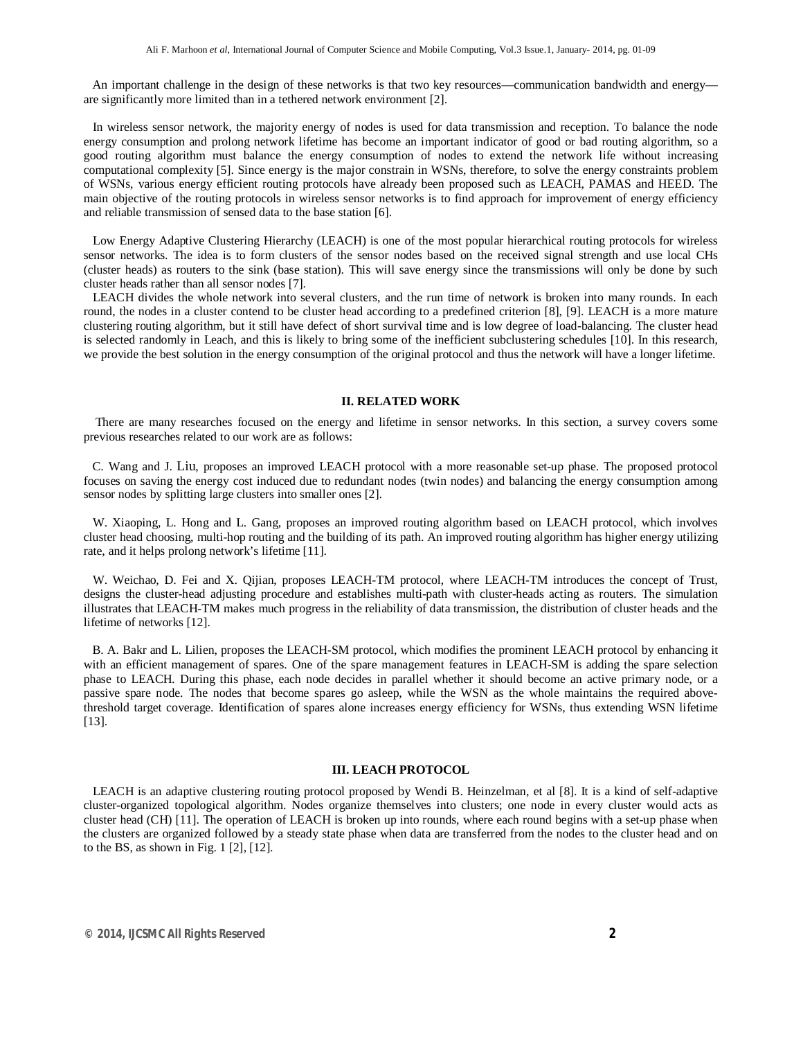An important challenge in the design of these networks is that two key resources—communication bandwidth and energy are significantly more limited than in a tethered network environment [2].

 In wireless sensor network, the majority energy of nodes is used for data transmission and reception. To balance the node energy consumption and prolong network lifetime has become an important indicator of good or bad routing algorithm, so a good routing algorithm must balance the energy consumption of nodes to extend the network life without increasing computational complexity [5]. Since energy is the major constrain in WSNs, therefore, to solve the energy constraints problem of WSNs, various energy efficient routing protocols have already been proposed such as LEACH, PAMAS and HEED. The main objective of the routing protocols in wireless sensor networks is to find approach for improvement of energy efficiency and reliable transmission of sensed data to the base station [6].

 Low Energy Adaptive Clustering Hierarchy (LEACH) is one of the most popular hierarchical routing protocols for wireless sensor networks. The idea is to form clusters of the sensor nodes based on the received signal strength and use local CHs (cluster heads) as routers to the sink (base station). This will save energy since the transmissions will only be done by such cluster heads rather than all sensor nodes [7].

 LEACH divides the whole network into several clusters, and the run time of network is broken into many rounds. In each round, the nodes in a cluster contend to be cluster head according to a predefined criterion [8], [9]. LEACH is a more mature clustering routing algorithm, but it still have defect of short survival time and is low degree of load-balancing. The cluster head is selected randomly in Leach, and this is likely to bring some of the inefficient subclustering schedules [10]. In this research, we provide the best solution in the energy consumption of the original protocol and thus the network will have a longer lifetime.

#### **II. RELATED WORK**

 There are many researches focused on the energy and lifetime in sensor networks. In this section, a survey covers some previous researches related to our work are as follows:

 C. Wang and J. Liu, proposes an improved LEACH protocol with a more reasonable set-up phase. The proposed protocol focuses on saving the energy cost induced due to redundant nodes (twin nodes) and balancing the energy consumption among sensor nodes by splitting large clusters into smaller ones [2].

 W. Xiaoping, L. Hong and L. Gang, proposes an improved routing algorithm based on LEACH protocol, which involves cluster head choosing, multi-hop routing and the building of its path. An improved routing algorithm has higher energy utilizing rate, and it helps prolong network's lifetime [11].

 W. Weichao, D. Fei and X. Qijian, proposes LEACH-TM protocol, where LEACH-TM introduces the concept of Trust, designs the cluster-head adjusting procedure and establishes multi-path with cluster-heads acting as routers. The simulation illustrates that LEACH-TM makes much progress in the reliability of data transmission, the distribution of cluster heads and the lifetime of networks [12].

 B. A. Bakr and L. Lilien, proposes the LEACH-SM protocol, which modifies the prominent LEACH protocol by enhancing it with an efficient management of spares. One of the spare management features in LEACH-SM is adding the spare selection phase to LEACH. During this phase, each node decides in parallel whether it should become an active primary node, or a passive spare node. The nodes that become spares go asleep, while the WSN as the whole maintains the required abovethreshold target coverage. Identification of spares alone increases energy efficiency for WSNs, thus extending WSN lifetime [13].

#### **III. LEACH PROTOCOL**

 LEACH is an adaptive clustering routing protocol proposed by Wendi B. Heinzelman, et al [8]. It is a kind of self-adaptive cluster-organized topological algorithm. Nodes organize themselves into clusters; one node in every cluster would acts as cluster head (CH) [11]. The operation of LEACH is broken up into rounds, where each round begins with a set-up phase when the clusters are organized followed by a steady state phase when data are transferred from the nodes to the cluster head and on to the BS, as shown in Fig.  $1$  [2], [12].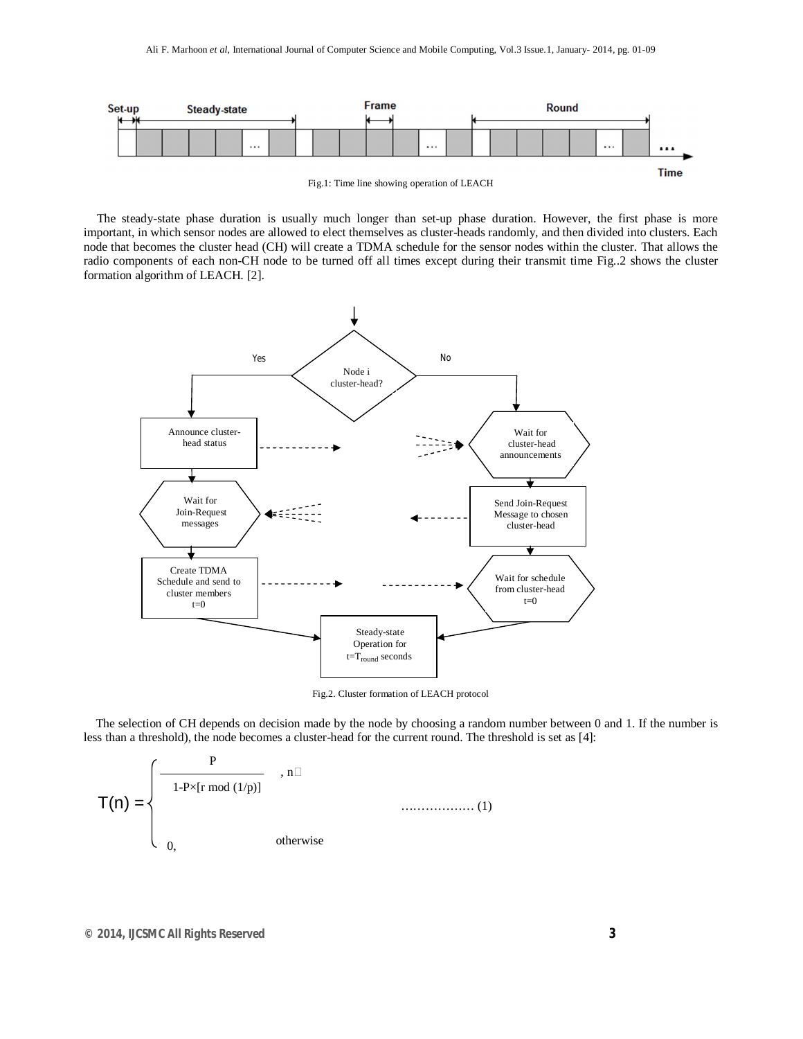

Fig.1: Time line showing operation of LEACH

 The steady-state phase duration is usually much longer than set-up phase duration. However, the first phase is more important, in which sensor nodes are allowed to elect themselves as cluster-heads randomly, and then divided into clusters. Each node that becomes the cluster head (CH) will create a TDMA schedule for the sensor nodes within the cluster. That allows the radio components of each non-CH node to be turned off all times except during their transmit time Fig..2 shows the cluster formation algorithm of LEACH. [2].



Fig.2. Cluster formation of LEACH protocol

 The selection of CH depends on decision made by the node by choosing a random number between 0 and 1. If the number is less than a threshold), the node becomes a cluster-head for the current round. The threshold is set as [4]:

$$
T(n) = \begin{cases} \frac{P}{1-P \times [r \mod (1/p)]} & , n \square \\ 0, & \text{otherwise} \end{cases}
$$
 (1)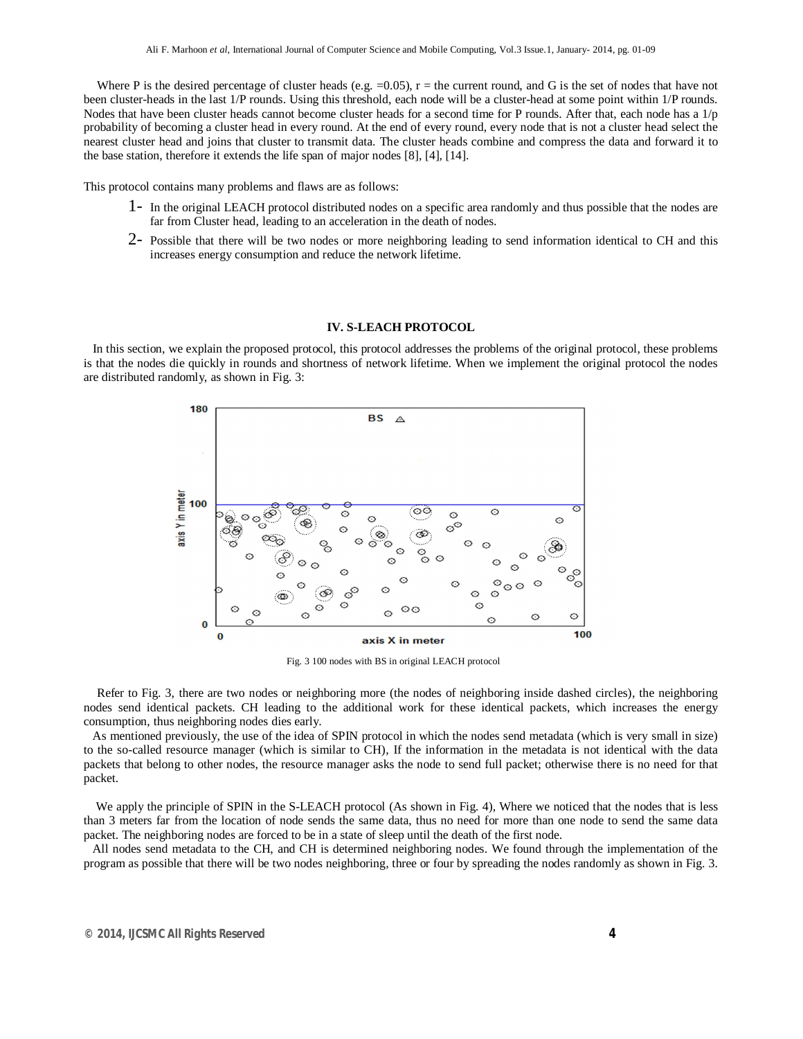Where P is the desired percentage of cluster heads (e.g.  $=0.05$ ),  $r =$  the current round, and G is the set of nodes that have not been cluster-heads in the last 1/P rounds. Using this threshold, each node will be a cluster-head at some point within 1/P rounds. Nodes that have been cluster heads cannot become cluster heads for a second time for P rounds. After that, each node has a 1/p probability of becoming a cluster head in every round. At the end of every round, every node that is not a cluster head select the nearest cluster head and joins that cluster to transmit data. The cluster heads combine and compress the data and forward it to the base station, therefore it extends the life span of major nodes [8], [4], [14].

This protocol contains many problems and flaws are as follows:

- 1- In the original LEACH protocol distributed nodes on a specific area randomly and thus possible that the nodes are far from Cluster head, leading to an acceleration in the death of nodes.
- $2$  Possible that there will be two nodes or more neighboring leading to send information identical to CH and this increases energy consumption and reduce the network lifetime.

#### **IV. S-LEACH PROTOCOL**

 In this section, we explain the proposed protocol, this protocol addresses the problems of the original protocol, these problems is that the nodes die quickly in rounds and shortness of network lifetime. When we implement the original protocol the nodes are distributed randomly, as shown in Fig. 3:



Fig. 3 100 nodes with BS in original LEACH protocol

 Refer to Fig. 3, there are two nodes or neighboring more (the nodes of neighboring inside dashed circles), the neighboring nodes send identical packets. CH leading to the additional work for these identical packets, which increases the energy consumption, thus neighboring nodes dies early.

 As mentioned previously, the use of the idea of SPIN protocol in which the nodes send metadata (which is very small in size) to the so-called resource manager (which is similar to CH), If the information in the metadata is not identical with the data packets that belong to other nodes, the resource manager asks the node to send full packet; otherwise there is no need for that packet.

 We apply the principle of SPIN in the S-LEACH protocol (As shown in Fig. 4), Where we noticed that the nodes that is less than 3 meters far from the location of node sends the same data, thus no need for more than one node to send the same data packet. The neighboring nodes are forced to be in a state of sleep until the death of the first node.

 All nodes send metadata to the CH, and CH is determined neighboring nodes. We found through the implementation of the program as possible that there will be two nodes neighboring, three or four by spreading the nodes randomly as shown in Fig. 3.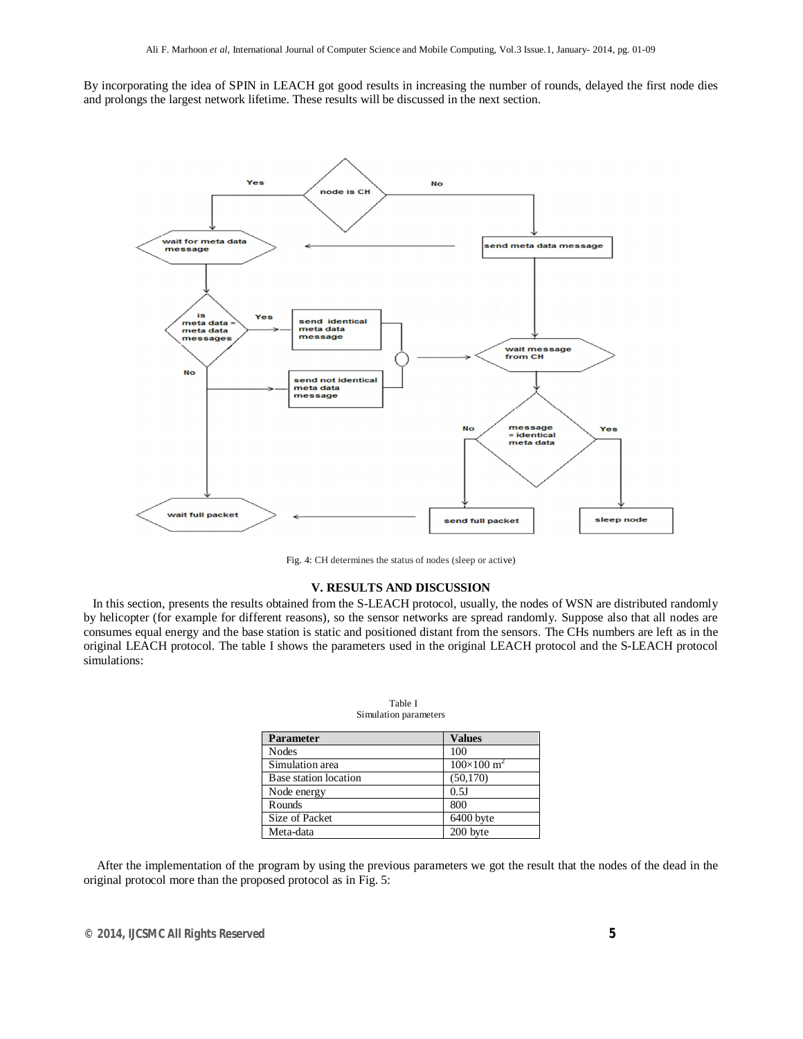By incorporating the idea of SPIN in LEACH got good results in increasing the number of rounds, delayed the first node dies and prolongs the largest network lifetime. These results will be discussed in the next section.



Fig. 4: CH determines the status of nodes (sleep or active)

#### **V. RESULTS AND DISCUSSION**

 In this section, presents the results obtained from the S-LEACH protocol, usually, the nodes of WSN are distributed randomly by helicopter (for example for different reasons), so the sensor networks are spread randomly. Suppose also that all nodes are consumes equal energy and the base station is static and positioned distant from the sensors. The CHs numbers are left as in the original LEACH protocol. The table I shows the parameters used in the original LEACH protocol and the S-LEACH protocol simulations:

| <b>Parameter</b>      | <b>Values</b>              |  |  |
|-----------------------|----------------------------|--|--|
| <b>Nodes</b>          | 100                        |  |  |
| Simulation area       | $100\times100 \text{ m}^2$ |  |  |
| Base station location | (50, 170)                  |  |  |
| Node energy           | 0.5J                       |  |  |
| Rounds                | 800                        |  |  |
| Size of Packet        | 6400 byte                  |  |  |
| Meta-data             | 200 byte                   |  |  |

| Table I               |  |  |  |  |  |
|-----------------------|--|--|--|--|--|
| Simulation parameters |  |  |  |  |  |

 After the implementation of the program by using the previous parameters we got the result that the nodes of the dead in the original protocol more than the proposed protocol as in Fig. 5: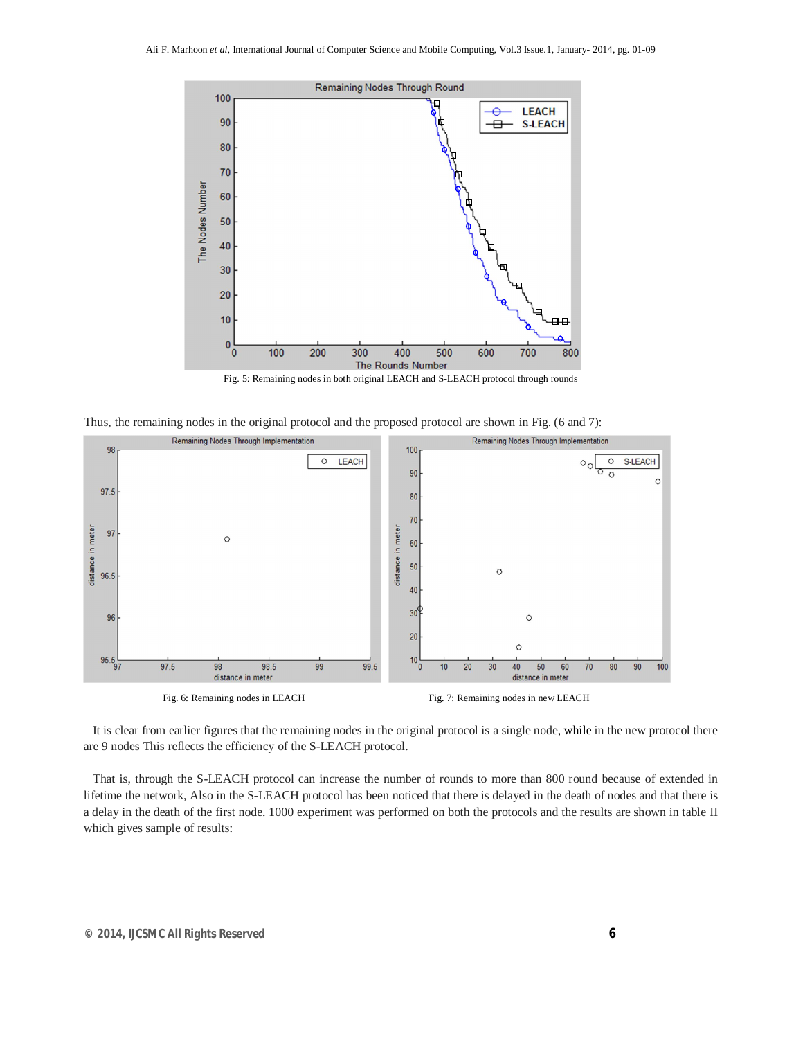

Fig. 5: Remaining nodes in both original LEACH and S-LEACH protocol through rounds





 It is clear from earlier figures that the remaining nodes in the original protocol is a single node, while in the new protocol there are 9 nodes This reflects the efficiency of the S-LEACH protocol.

 That is, through the S-LEACH protocol can increase the number of rounds to more than 800 round because of extended in lifetime the network, Also in the S-LEACH protocol has been noticed that there is delayed in the death of nodes and that there is a delay in the death of the first node. 1000 experiment was performed on both the protocols and the results are shown in table II which gives sample of results: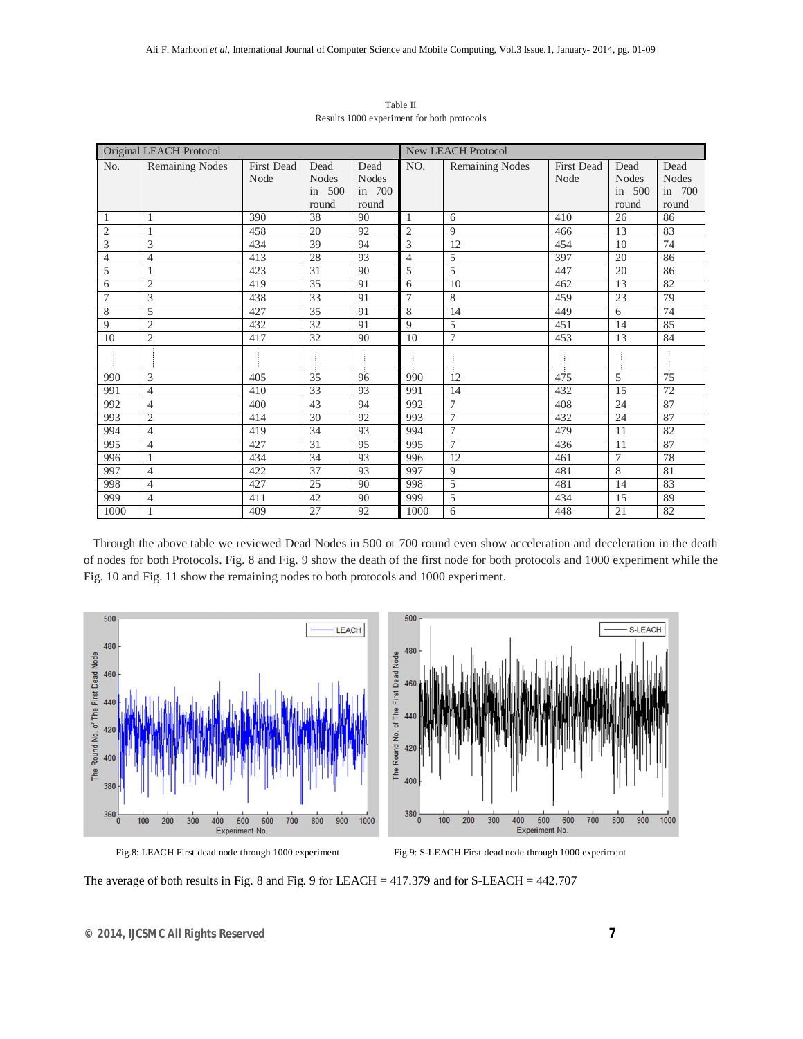| Original LEACH Protocol |                        |                   |              | <b>New LEACH Protocol</b> |                |                        |                   |              |              |
|-------------------------|------------------------|-------------------|--------------|---------------------------|----------------|------------------------|-------------------|--------------|--------------|
| No.                     | <b>Remaining Nodes</b> | <b>First Dead</b> | Dead         | Dead                      | NO.            | <b>Remaining Nodes</b> | <b>First Dead</b> | Dead         | Dead         |
|                         |                        | Node              | <b>Nodes</b> | <b>Nodes</b>              |                |                        | Node              | <b>Nodes</b> | <b>Nodes</b> |
|                         |                        |                   | in 500       | in 700                    |                |                        |                   | in $500$     | in 700       |
|                         |                        |                   | round        | round                     |                |                        |                   | round        | round        |
| 1                       | 1                      | 390               | 38           | 90                        | $\mathbf{1}$   | 6                      | 410               | 26           | 86           |
| $\overline{2}$          | $\overline{1}$         | 458               | 20           | 92                        | $\overline{2}$ | 9                      | 466               | 13           | 83           |
| 3                       | 3                      | 434               | 39           | 94                        | 3              | 12                     | 454               | 10           | 74           |
| $\overline{4}$          | $\overline{4}$         | 413               | 28           | 93                        | $\overline{4}$ | 5                      | 397               | 20           | 86           |
| 5                       |                        | 423               | 31           | 90                        | 5              | 5                      | 447               | 20           | 86           |
| 6                       | $\mathfrak{2}$         | 419               | 35           | 91                        | 6              | 10                     | 462               | 13           | 82           |
| 7                       | 3                      | 438               | 33           | 91                        | $\overline{7}$ | 8                      | 459               | 23           | 79           |
| 8                       | 5                      | 427               | 35           | 91                        | 8              | 14                     | 449               | 6            | 74           |
| 9                       | $\mathfrak{2}$         | 432               | 32           | 91                        | 9              | 5                      | 451               | 14           | 85           |
| 10                      | $\overline{2}$         | 417               | 32           | 90                        | 10             | $\tau$                 | 453               | 13           | 84           |
|                         |                        |                   |              |                           |                |                        |                   |              |              |
| 990                     | 3                      | 405               | 35           | 96                        | 990            | 12                     | 475               | 5            | 75           |
| 991                     | $\overline{4}$         | 410               | 33           | 93                        | 991            | 14                     | 432               | 15           | 72           |
| 992                     | 4                      | 400               | 43           | 94                        | 992            | $\tau$                 | 408               | 24           | 87           |
| 993                     | $\overline{2}$         | 414               | 30           | 92                        | 993            | $\tau$                 | 432               | 24           | 87           |
| 994                     | $\overline{4}$         | 419               | 34           | 93                        | 994            | $\overline{7}$         | 479               | 11           | 82           |
| 995                     | $\overline{4}$         | 427               | 31           | 95                        | 995            | $\overline{7}$         | 436               | 11           | 87           |
| 996                     | $\mathbf{1}$           | 434               | 34           | 93                        | 996            | 12                     | 461               | 7            | 78           |
| 997                     | $\overline{4}$         | 422               | 37           | 93                        | 997            | 9                      | 481               | 8            | 81           |
| 998                     | $\overline{4}$         | 427               | 25           | 90                        | 998            | 5                      | 481               | 14           | 83           |
| 999                     | $\overline{4}$         | 411               | 42           | 90                        | 999            | 5                      | 434               | 15           | 89           |
| 1000                    |                        | 409               | 27           | 92                        | 1000           | 6                      | 448               | 21           | 82           |

Table II Results 1000 experiment for both protocols

 Through the above table we reviewed Dead Nodes in 500 or 700 round even show acceleration and deceleration in the death of nodes for both Protocols. Fig. 8 and Fig. 9 show the death of the first node for both protocols and 1000 experiment while the Fig. 10 and Fig. 11 show the remaining nodes to both protocols and 1000 experiment.





Fig.8: LEACH First dead node through 1000 experiment Fig.9: S-LEACH First dead node through 1000 experiment

The average of both results in Fig. 8 and Fig. 9 for LEACH = 417.379 and for S-LEACH = 442.707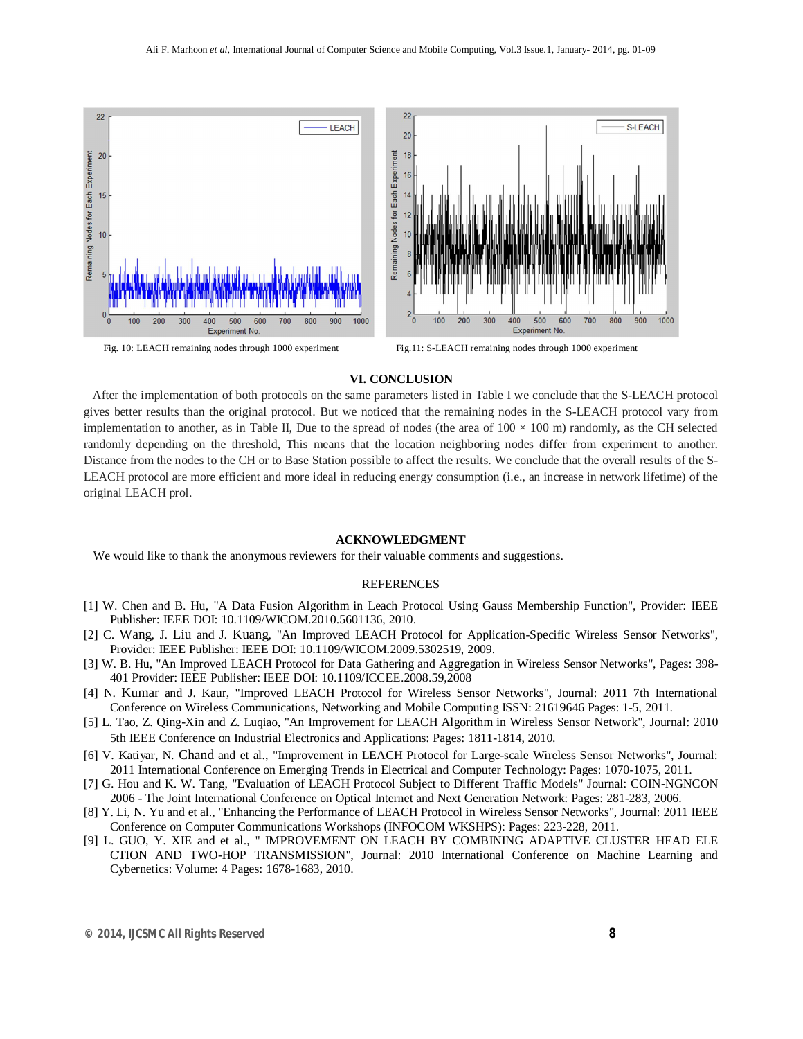

Fig. 10: LEACH remaining nodes through 1000 experiment Fig.11: S-LEACH remaining nodes through 1000 experiment

900 1000

### **VI. CONCLUSION**

 After the implementation of both protocols on the same parameters listed in Table I we conclude that the S-LEACH protocol gives better results than the original protocol. But we noticed that the remaining nodes in the S-LEACH protocol vary from implementation to another, as in Table II, Due to the spread of nodes (the area of  $100 \times 100$  m) randomly, as the CH selected randomly depending on the threshold, This means that the location neighboring nodes differ from experiment to another. Distance from the nodes to the CH or to Base Station possible to affect the results. We conclude that the overall results of the S-LEACH protocol are more efficient and more ideal in reducing energy consumption (i.e., an increase in network lifetime) of the original LEACH prol.

#### **ACKNOWLEDGMENT**

We would like to thank the anonymous reviewers for their valuable comments and suggestions.

#### REFERENCES

- [1] W. Chen and B. Hu, "A Data Fusion Algorithm in Leach Protocol Using Gauss Membership Function", Provider: IEEE Publisher: IEEE DOI: 10.1109/WICOM.2010.5601136, 2010.
- [2] C. Wang, J. Liu and J. Kuang, "An Improved LEACH Protocol for Application-Specific Wireless Sensor Networks", Provider: IEEE Publisher: IEEE DOI: 10.1109/WICOM.2009.5302519, 2009.
- [3] W. B. Hu, "An Improved LEACH Protocol for Data Gathering and Aggregation in Wireless Sensor Networks", Pages: 398- 401 Provider: IEEE Publisher: IEEE DOI: 10.1109/ICCEE.2008.59,2008
- [4] N. Kumar and J. Kaur, "Improved LEACH Protocol for Wireless Sensor Networks", Journal: 2011 7th International Conference on Wireless Communications, Networking and Mobile Computing ISSN: 21619646 Pages: 1-5, 2011.
- [5] L. Tao, Z. Qing-Xin and Z. Luqiao, "An Improvement for LEACH Algorithm in Wireless Sensor Network", Journal: 2010 5th IEEE Conference on Industrial Electronics and Applications: Pages: 1811-1814, 2010.
- [6] V. Katiyar, N. Chand and et al., "Improvement in LEACH Protocol for Large-scale Wireless Sensor Networks", Journal: 2011 International Conference on Emerging Trends in Electrical and Computer Technology: Pages: 1070-1075, 2011.
- [7] G. Hou and K. W. Tang, "Evaluation of LEACH Protocol Subject to Different Traffic Models" Journal: COIN-NGNCON 2006 - The Joint International Conference on Optical Internet and Next Generation Network: Pages: 281-283, 2006.
- [8] Y. Li, N. Yu and et al., "Enhancing the Performance of LEACH Protocol in Wireless Sensor Networks", Journal: 2011 IEEE Conference on Computer Communications Workshops (INFOCOM WKSHPS): Pages: 223-228, 2011.
- [9] L. GUO, Y. XIE and et al., " IMPROVEMENT ON LEACH BY COMBINING ADAPTIVE CLUSTER HEAD ELE CTION AND TWO-HOP TRANSMISSION", Journal: 2010 International Conference on Machine Learning and Cybernetics: Volume: 4 Pages: 1678-1683, 2010.